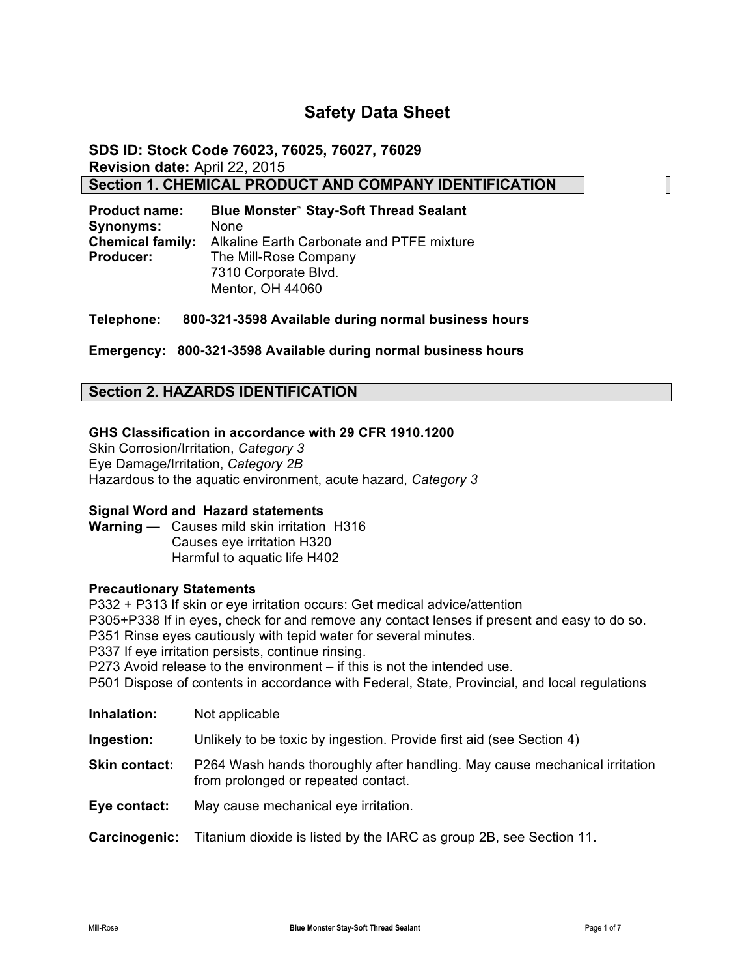# **Safety Data Sheet**

**SDS ID: Stock Code 76023, 76025, 76027, 76029 Revision date:** April 22, 2015 **Section 1. CHEMICAL PRODUCT AND COMPANY IDENTIFICATION**

| <b>Product name:</b>    | Blue Monster" Stay-Soft Thread Sealant    |
|-------------------------|-------------------------------------------|
| <b>Synonyms:</b>        | <b>None</b>                               |
| <b>Chemical family:</b> | Alkaline Earth Carbonate and PTFE mixture |
| <b>Producer:</b>        | The Mill-Rose Company                     |
|                         | 7310 Corporate Blvd.                      |
|                         | Mentor, OH 44060                          |

**Telephone: 800-321-3598 Available during normal business hours**

**Emergency: 800-321-3598 Available during normal business hours**

# **Section 2. HAZARDS IDENTIFICATION**

#### **GHS Classification in accordance with 29 CFR 1910.1200**

Skin Corrosion/Irritation, *Category 3* Eye Damage/Irritation, *Category 2B* Hazardous to the aquatic environment, acute hazard, *Category 3*

#### **Signal Word and Hazard statements**

**Warning —** Causes mild skin irritation H316 Causes eye irritation H320 Harmful to aquatic life H402

#### **Precautionary Statements**

P332 + P313 If skin or eye irritation occurs: Get medical advice/attention P305+P338 If in eyes, check for and remove any contact lenses if present and easy to do so. P351 Rinse eyes cautiously with tepid water for several minutes. P337 If eye irritation persists, continue rinsing. P273 Avoid release to the environment – if this is not the intended use. P501 Dispose of contents in accordance with Federal, State, Provincial, and local regulations

| Inhalation:          | Not applicable                                                                                                    |
|----------------------|-------------------------------------------------------------------------------------------------------------------|
| Ingestion:           | Unlikely to be toxic by ingestion. Provide first aid (see Section 4)                                              |
| <b>Skin contact:</b> | P264 Wash hands thoroughly after handling. May cause mechanical irritation<br>from prolonged or repeated contact. |
| Eye contact:         | May cause mechanical eye irritation.                                                                              |
| Carcinogenic:        | Titanium dioxide is listed by the IARC as group 2B, see Section 11.                                               |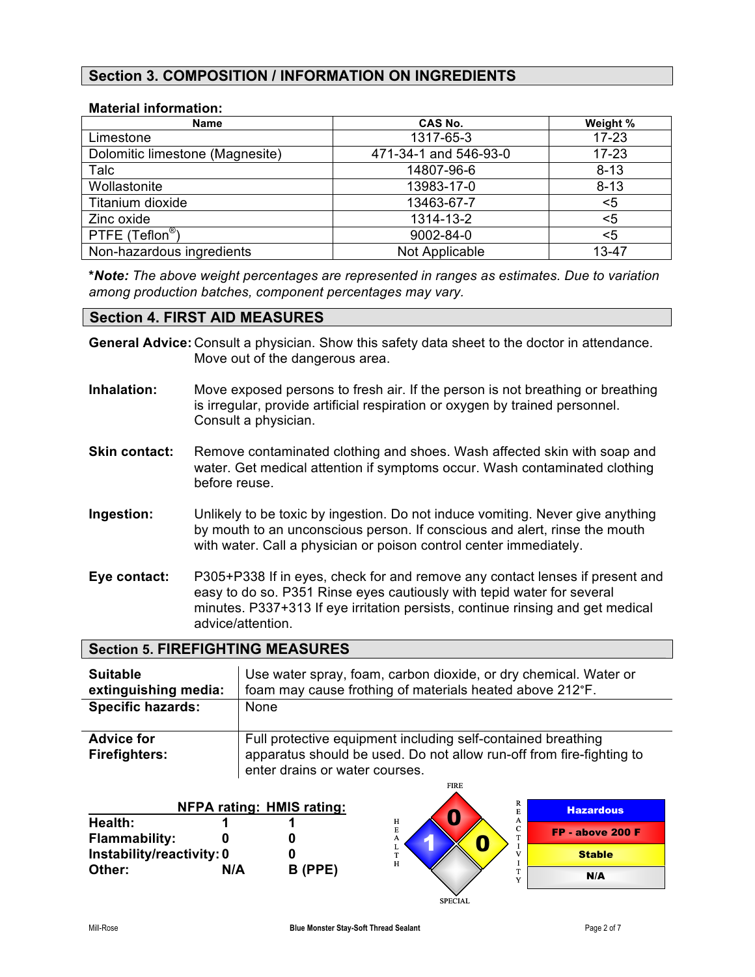# **Section 3. COMPOSITION / INFORMATION ON INGREDIENTS**

## **Material information:**

| <b>Name</b>                     | <b>CAS No.</b>        | Weight %  |
|---------------------------------|-----------------------|-----------|
| Limestone                       | 1317-65-3             | $17 - 23$ |
| Dolomitic limestone (Magnesite) | 471-34-1 and 546-93-0 | $17 - 23$ |
| Talc                            | 14807-96-6            | $8 - 13$  |
| Wollastonite                    | 13983-17-0            | $8 - 13$  |
| Titanium dioxide                | 13463-67-7            | <5        |
| Zinc oxide                      | 1314-13-2             | <5        |
| PTFE (Teflon <sup>®</sup> )     | 9002-84-0             | <5        |
| Non-hazardous ingredients       | Not Applicable        | 13-47     |

**\****Note: The above weight percentages are represented in ranges as estimates. Due to variation among production batches, component percentages may vary.*

# **Section 4. FIRST AID MEASURES**

**General Advice:** Consult a physician. Show this safety data sheet to the doctor in attendance. Move out of the dangerous area.

- **Inhalation:** Move exposed persons to fresh air. If the person is not breathing or breathing is irregular, provide artificial respiration or oxygen by trained personnel. Consult a physician.
- **Skin contact:** Remove contaminated clothing and shoes. Wash affected skin with soap and water. Get medical attention if symptoms occur. Wash contaminated clothing before reuse.
- **Ingestion:** Unlikely to be toxic by ingestion. Do not induce vomiting. Never give anything by mouth to an unconscious person. If conscious and alert, rinse the mouth with water. Call a physician or poison control center immediately.
- **Eye contact:** P305+P338 If in eyes, check for and remove any contact lenses if present and easy to do so. P351 Rinse eyes cautiously with tepid water for several minutes. P337+313 If eye irritation persists, continue rinsing and get medical advice/attention.

# **Section 5. FIREFIGHTING MEASURES**

| <b>Suitable</b><br>extinguishing media:   | Use water spray, foam, carbon dioxide, or dry chemical. Water or<br>foam may cause frothing of materials heated above 212°F.                                           |
|-------------------------------------------|------------------------------------------------------------------------------------------------------------------------------------------------------------------------|
| <b>Specific hazards:</b>                  | None                                                                                                                                                                   |
| <b>Advice for</b><br><b>Firefighters:</b> | Full protective equipment including self-contained breathing<br>apparatus should be used. Do not allow run-off from fire-fighting to<br>enter drains or water courses. |

FIRE

|                           |     |                                  | .                    |                  |
|---------------------------|-----|----------------------------------|----------------------|------------------|
|                           |     | <b>NFPA rating: HMIS rating:</b> | R<br>E               | <b>Hazardous</b> |
| Health:                   |     |                                  | н<br>A<br>$\sqrt{2}$ |                  |
| <b>Flammability:</b>      |     |                                  | Е<br>◡<br>m<br>A     | FP - above 200 F |
| Instability/reactivity: 0 |     |                                  | v<br>m               | <b>Stable</b>    |
| Other:                    | N/A | B (PPE)                          | H<br>m<br><b>XF</b>  | N/A              |
|                           |     |                                  | <b>SPECIAL</b>       |                  |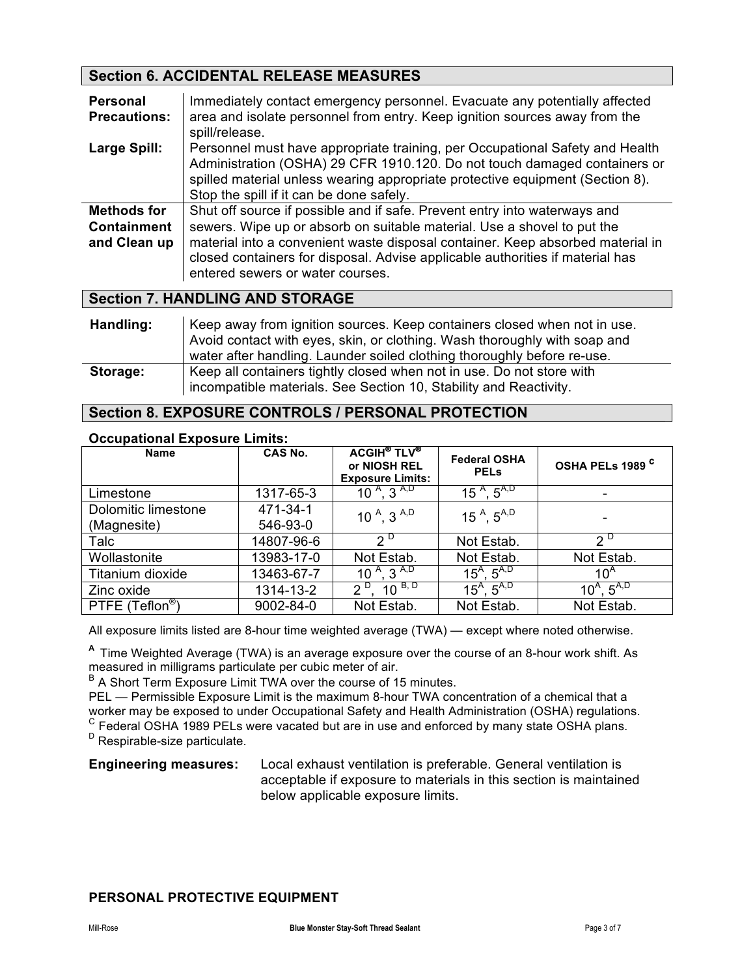# **Section 6. ACCIDENTAL RELEASE MEASURES**

| <b>Personal</b><br><b>Precautions:</b>                   | Immediately contact emergency personnel. Evacuate any potentially affected<br>area and isolate personnel from entry. Keep ignition sources away from the<br>spill/release.                                                                                                                                                                                  |
|----------------------------------------------------------|-------------------------------------------------------------------------------------------------------------------------------------------------------------------------------------------------------------------------------------------------------------------------------------------------------------------------------------------------------------|
| Large Spill:                                             | Personnel must have appropriate training, per Occupational Safety and Health<br>Administration (OSHA) 29 CFR 1910.120. Do not touch damaged containers or<br>spilled material unless wearing appropriate protective equipment (Section 8).<br>Stop the spill if it can be done safely.                                                                      |
| <b>Methods for</b><br><b>Containment</b><br>and Clean up | Shut off source if possible and if safe. Prevent entry into waterways and<br>sewers. Wipe up or absorb on suitable material. Use a shovel to put the<br>material into a convenient waste disposal container. Keep absorbed material in<br>closed containers for disposal. Advise applicable authorities if material has<br>entered sewers or water courses. |

# **Section 7. HANDLING AND STORAGE**

| Handling: | Keep away from ignition sources. Keep containers closed when not in use.<br>Avoid contact with eyes, skin, or clothing. Wash thoroughly with soap and<br>water after handling. Launder soiled clothing thoroughly before re-use. |
|-----------|----------------------------------------------------------------------------------------------------------------------------------------------------------------------------------------------------------------------------------|
| Storage:  | Keep all containers tightly closed when not in use. Do not store with<br>incompatible materials. See Section 10, Stability and Reactivity.                                                                                       |

# **Section 8. EXPOSURE CONTROLS / PERSONAL PROTECTION**

## **Occupational Exposure Limits:**

| <b>Name</b>                        | <b>CAS No.</b>       | <b>ACGIH<sup>®</sup> TLV<sup>®</sup></b><br>or NIOSH REL<br><b>Exposure Limits:</b> | <b>Federal OSHA</b><br><b>PELS</b> | OSHA PELs 1989 <sup>C</sup> |
|------------------------------------|----------------------|-------------------------------------------------------------------------------------|------------------------------------|-----------------------------|
| Limestone                          | 1317-65-3            | $10^{A}$ , 3 <sup>A,D</sup>                                                         | 15 <sup>A</sup> , $5^{A,D}$        |                             |
| Dolomitic limestone<br>(Magnesite) | 471-34-1<br>546-93-0 | 10 $^{A}$ , 3 $^{A,D}$                                                              | 15 $^{A}$ , 5 <sup>A,D</sup>       |                             |
| Talc                               | 14807-96-6           | $2^{\circ}$                                                                         | Not Estab.                         | $2^{\nu}$                   |
| Wollastonite                       | 13983-17-0           | Not Estab.                                                                          | Not Estab.                         | Not Estab.                  |
| Titanium dioxide                   | 13463-67-7           | 10 $^{A}$ , $\overline{3}^{A,D}$                                                    | $15^A$ , $5^{A,D}$                 | $10^A$                      |
| Zinc oxide                         | 1314-13-2            | $2^{D}$ , 10 <sup>B, D</sup>                                                        | $15^A$ , $5^{A,D}$                 | $10^A$ , $5^{A,D}$          |
| PTFE (Teflon <sup>®</sup> )        | 9002-84-0            | Not Estab.                                                                          | Not Estab.                         | Not Estab.                  |

All exposure limits listed are 8-hour time weighted average (TWA) — except where noted otherwise.

**<sup>A</sup>**Time Weighted Average (TWA) is an average exposure over the course of an 8-hour work shift. As measured in milligrams particulate per cubic meter of air.

 $B$  A Short Term Exposure Limit TWA over the course of 15 minutes.

PEL — Permissible Exposure Limit is the maximum 8-hour TWA concentration of a chemical that a worker may be exposed to under Occupational Safety and Health Administration (OSHA) regulations.  $\textdegree$  Federal OSHA 1989 PELs were vacated but are in use and enforced by many state OSHA plans. <sup>D</sup> Respirable-size particulate.

**Engineering measures:** Local exhaust ventilation is preferable. General ventilation is acceptable if exposure to materials in this section is maintained below applicable exposure limits.

## **PERSONAL PROTECTIVE EQUIPMENT**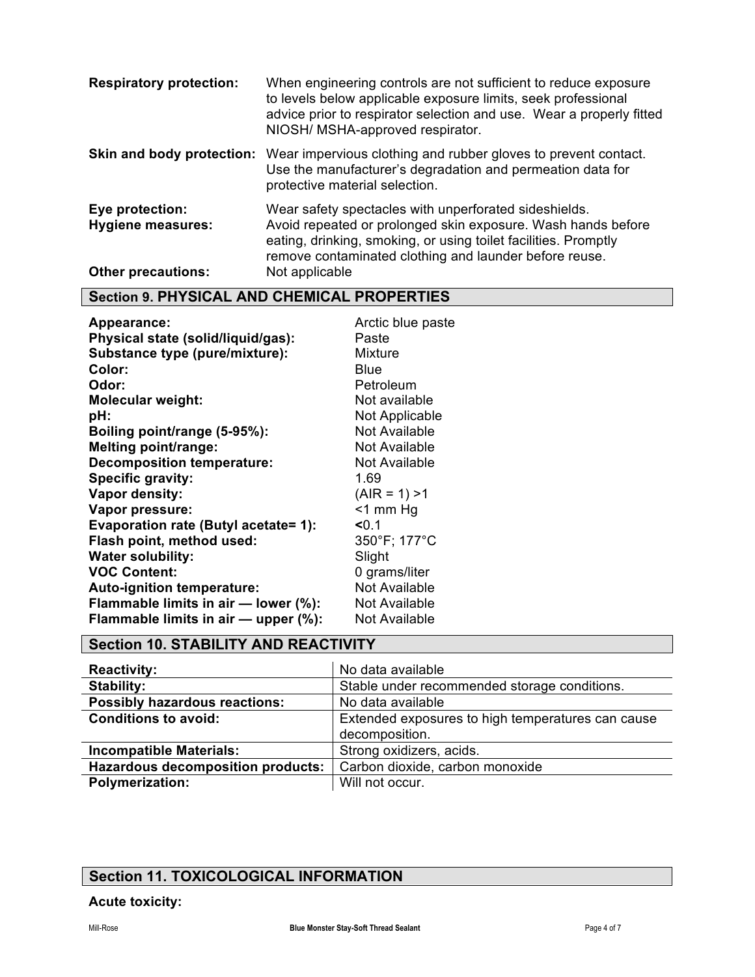| <b>Respiratory protection:</b>                                           | When engineering controls are not sufficient to reduce exposure<br>to levels below applicable exposure limits, seek professional<br>advice prior to respirator selection and use. Wear a properly fitted<br>NIOSH/ MSHA-approved respirator.                         |
|--------------------------------------------------------------------------|----------------------------------------------------------------------------------------------------------------------------------------------------------------------------------------------------------------------------------------------------------------------|
| Skin and body protection:                                                | Wear impervious clothing and rubber gloves to prevent contact.<br>Use the manufacturer's degradation and permeation data for<br>protective material selection.                                                                                                       |
| Eye protection:<br><b>Hygiene measures:</b><br><b>Other precautions:</b> | Wear safety spectacles with unperforated sideshields.<br>Avoid repeated or prolonged skin exposure. Wash hands before<br>eating, drinking, smoking, or using toilet facilities. Promptly<br>remove contaminated clothing and launder before reuse.<br>Not applicable |

# **Section 9. PHYSICAL AND CHEMICAL PROPERTIES**

| Appearance:                          | Arctic blue paste    |
|--------------------------------------|----------------------|
| Physical state (solid/liquid/gas):   | Paste                |
| Substance type (pure/mixture):       | Mixture              |
| Color:                               | Blue                 |
| Odor:                                | Petroleum            |
| <b>Molecular weight:</b>             | Not available        |
| pH:                                  | Not Applicable       |
| Boiling point/range (5-95%):         | <b>Not Available</b> |
| <b>Melting point/range:</b>          | Not Available        |
| <b>Decomposition temperature:</b>    | Not Available        |
| Specific gravity:                    | 1.69                 |
| Vapor density:                       | $(AIR = 1) > 1$      |
| Vapor pressure:                      | $<$ 1 mm Hg          |
| Evaporation rate (Butyl acetate= 1): | 50.1                 |
| Flash point, method used:            | 350°F; 177°C         |
| <b>Water solubility:</b>             | Slight               |
| <b>VOC Content:</b>                  | 0 grams/liter        |
| <b>Auto-ignition temperature:</b>    | Not Available        |
| Flammable limits in air - lower (%): | Not Available        |
| Flammable limits in air - upper (%): | <b>Not Available</b> |

# **Section 10. STABILITY AND REACTIVITY**

| <b>Reactivity:</b>                                        | No data available                                 |  |
|-----------------------------------------------------------|---------------------------------------------------|--|
| Stability:                                                | Stable under recommended storage conditions.      |  |
| <b>Possibly hazardous reactions:</b><br>No data available |                                                   |  |
| <b>Conditions to avoid:</b>                               | Extended exposures to high temperatures can cause |  |
|                                                           | decomposition.                                    |  |
| <b>Incompatible Materials:</b>                            | Strong oxidizers, acids.                          |  |
| <b>Hazardous decomposition products:</b>                  | Carbon dioxide, carbon monoxide                   |  |
| <b>Polymerization:</b>                                    | Will not occur.                                   |  |

# **Section 11. TOXICOLOGICAL INFORMATION**

# **Acute toxicity:**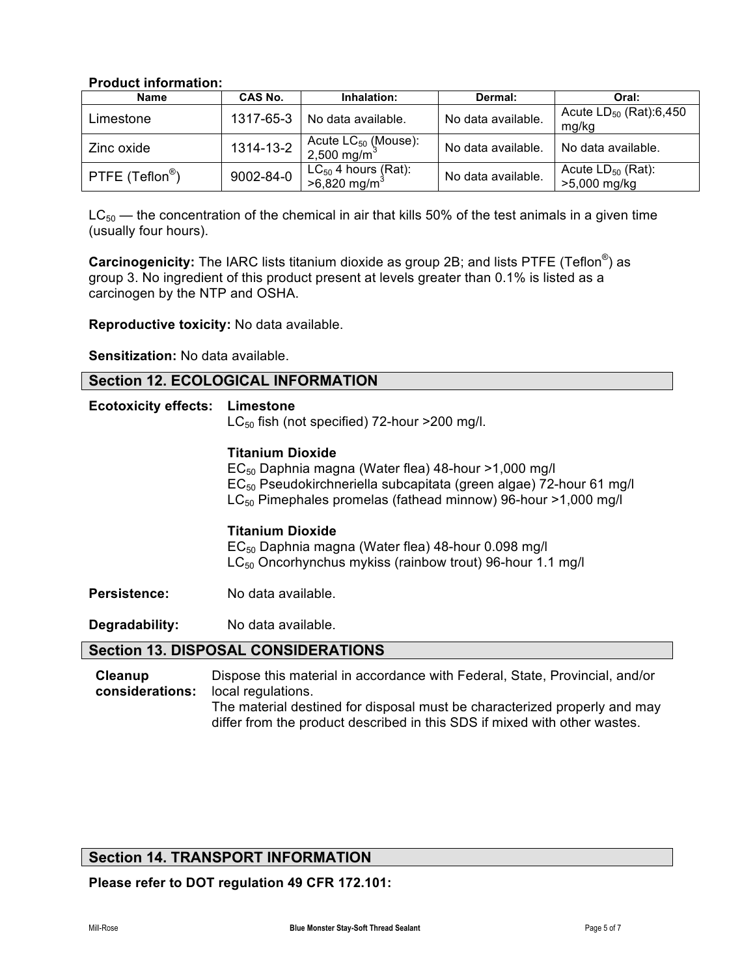## **Product information:**

| <b>Name</b>                 | <b>CAS No.</b> | Inhalation:                                                 | Dermal:            | Oral:                                  |
|-----------------------------|----------------|-------------------------------------------------------------|--------------------|----------------------------------------|
| Limestone                   | 1317-65-3      | No data available.                                          | No data available. | Acute $LD_{50}$ (Rat):6,450<br>mg/kg   |
| Zinc oxide                  | 1314-13-2      | Acute $LC_{50}$ (Mouse):<br>2,500 mg/m <sup>3</sup>         | No data available. | No data available.                     |
| PTFE (Teflon <sup>®</sup> ) | 9002-84-0      | LC <sub>50</sub> 4 hours (Rat):<br>>6,820 mg/m <sup>3</sup> | No data available. | Acute $LD_{50}$ (Rat):<br>>5,000 mg/kg |

 $LC_{50}$  — the concentration of the chemical in air that kills 50% of the test animals in a given time (usually four hours).

**Carcinogenicity:** The IARC lists titanium dioxide as group 2B; and lists PTFE (Teflon®) as group 3. No ingredient of this product present at levels greater than 0.1% is listed as a carcinogen by the NTP and OSHA.

**Reproductive toxicity:** No data available.

**Sensitization:** No data available.

|  |  |  |  | <b>Section 12. ECOLOGICAL INFORMATION</b> |
|--|--|--|--|-------------------------------------------|
|--|--|--|--|-------------------------------------------|

# **Ecotoxicity effects: Limestone**

 $LC_{50}$  fish (not specified) 72-hour >200 mg/l.

#### **Titanium Dioxide**

 $EC_{50}$  Daphnia magna (Water flea) 48-hour >1,000 mg/l EC50 Pseudokirchneriella subcapitata (green algae) 72-hour 61 mg/l LC<sub>50</sub> Pimephales promelas (fathead minnow) 96-hour >1,000 mg/l

#### **Titanium Dioxide**

 $EC_{50}$  Daphnia magna (Water flea) 48-hour 0.098 mg/l LC<sub>50</sub> Oncorhynchus mykiss (rainbow trout) 96-hour 1.1 mg/l

**Persistence:** No data available.

**Degradability:** No data available.

## **Section 13. DISPOSAL CONSIDERATIONS**

**Cleanup considerations:** Dispose this material in accordance with Federal, State, Provincial, and/or local regulations. The material destined for disposal must be characterized properly and may differ from the product described in this SDS if mixed with other wastes.

# **Section 14. TRANSPORT INFORMATION**

**Please refer to DOT regulation 49 CFR 172.101:**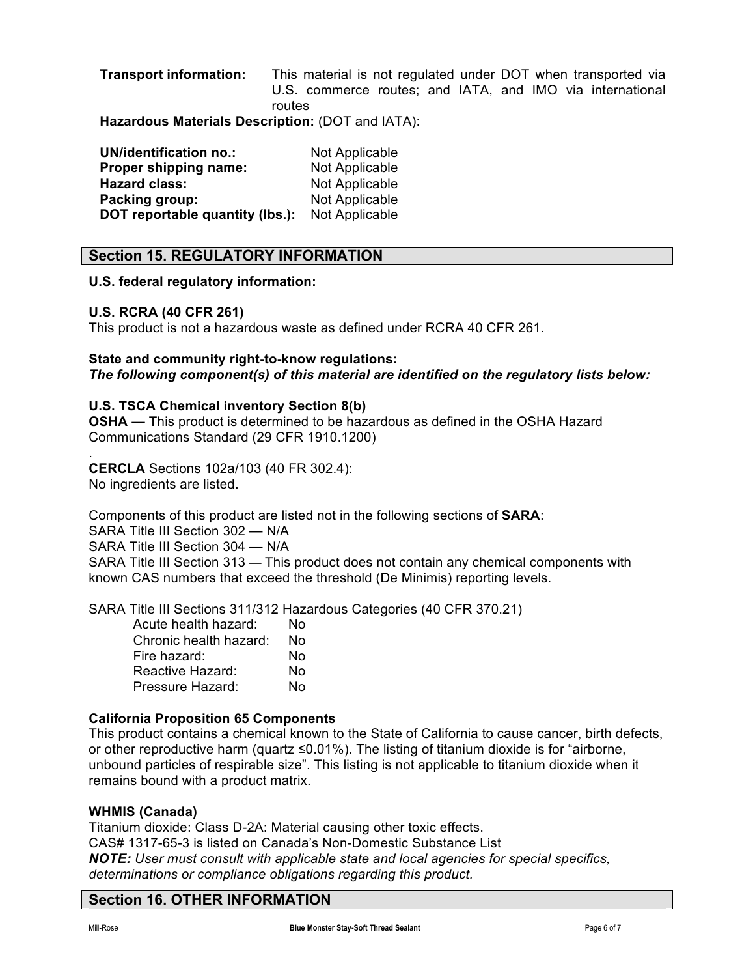**Transport information:** This material is not regulated under DOT when transported via U.S. commerce routes; and IATA, and IMO via international routes

**Hazardous Materials Description:** (DOT and IATA):

| <b>UN/identification no.:</b>   | Not Applicable |
|---------------------------------|----------------|
| Proper shipping name:           | Not Applicable |
| Hazard class:                   | Not Applicable |
| Packing group:                  | Not Applicable |
| DOT reportable quantity (lbs.): | Not Applicable |

# **Section 15. REGULATORY INFORMATION**

#### **U.S. federal regulatory information:**

#### **U.S. RCRA (40 CFR 261)**

.

This product is not a hazardous waste as defined under RCRA 40 CFR 261.

## **State and community right-to-know regulations:**

*The following component(s) of this material are identified on the regulatory lists below:*

#### **U.S. TSCA Chemical inventory Section 8(b)**

**OSHA —** This product is determined to be hazardous as defined in the OSHA Hazard Communications Standard (29 CFR 1910.1200)

**CERCLA** Sections 102a/103 (40 FR 302.4): No ingredients are listed.

Components of this product are listed not in the following sections of **SARA**:

SARA Title III Section 302 — N/A SARA Title III Section 304 — N/A

SARA Title III Section 313 — This product does not contain any chemical components with known CAS numbers that exceed the threshold (De Minimis) reporting levels.

SARA Title III Sections 311/312 Hazardous Categories (40 CFR 370.21)

| Acute health hazard:   | N٥ |
|------------------------|----|
| Chronic health hazard: | No |
| Fire hazard:           | No |
| Reactive Hazard:       | No |
| Pressure Hazard:       | N٥ |

## **California Proposition 65 Components**

This product contains a chemical known to the State of California to cause cancer, birth defects, or other reproductive harm (quartz  $\leq 0.01\%$ ). The listing of titanium dioxide is for "airborne, unbound particles of respirable size". This listing is not applicable to titanium dioxide when it remains bound with a product matrix.

#### **WHMIS (Canada)**

Titanium dioxide: Class D-2A: Material causing other toxic effects. CAS# 1317-65-3 is listed on Canada's Non-Domestic Substance List *NOTE: User must consult with applicable state and local agencies for special specifics, determinations or compliance obligations regarding this product.*

# **Section 16. OTHER INFORMATION**